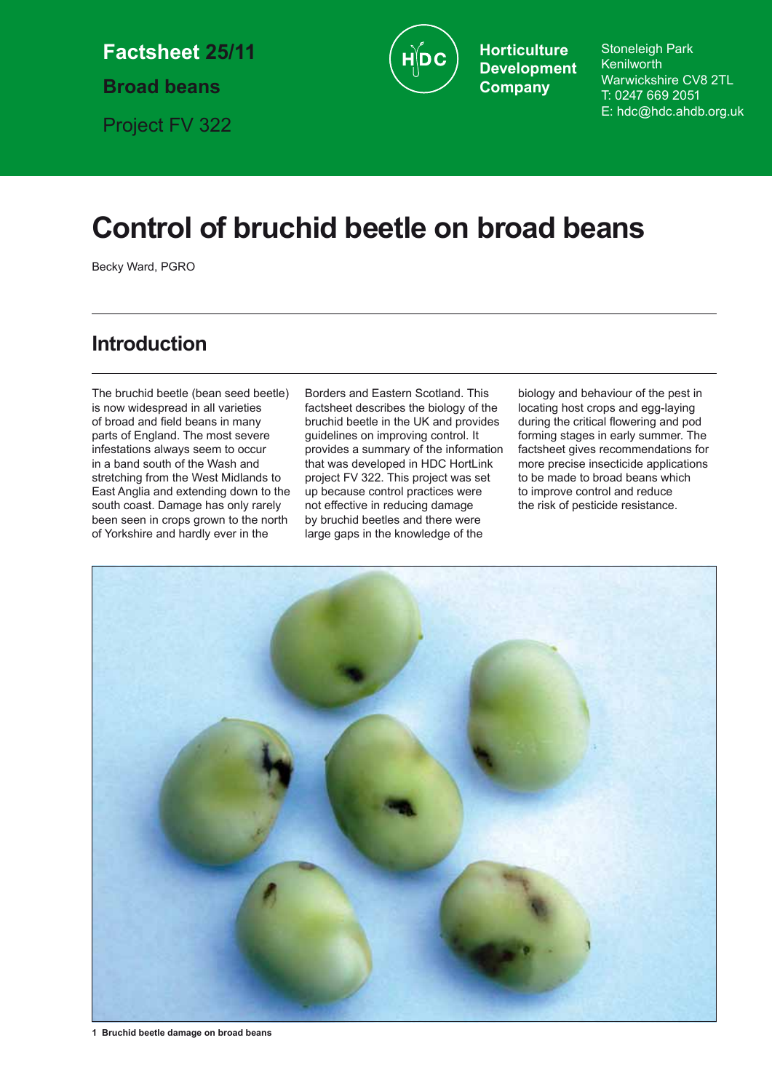**Factsheet 25/11**

**Broad beans**

Project FV 322

**Horticulture Development Company**

Stoneleigh Park **Kenilworth** Warwickshire CV8 2TL T: 0247 669 2051 E: hdc@hdc.ahdb.org.uk

# **Control of bruchid beetle on broad beans**

Becky Ward, PGRO

# **Introduction**

The bruchid beetle (bean seed beetle) is now widespread in all varieties of broad and field beans in many parts of England. The most severe infestations always seem to occur in a band south of the Wash and stretching from the West Midlands to East Anglia and extending down to the south coast. Damage has only rarely been seen in crops grown to the north of Yorkshire and hardly ever in the

Borders and Eastern Scotland. This factsheet describes the biology of the bruchid beetle in the UK and provides guidelines on improving control. It provides a summary of the information that was developed in HDC HortLink project FV 322. This project was set up because control practices were not effective in reducing damage by bruchid beetles and there were large gaps in the knowledge of the

biology and behaviour of the pest in locating host crops and egg-laying during the critical flowering and pod forming stages in early summer. The factsheet gives recommendations for more precise insecticide applications to be made to broad beans which to improve control and reduce the risk of pesticide resistance.



**1 Bruchid beetle damage on broad beans**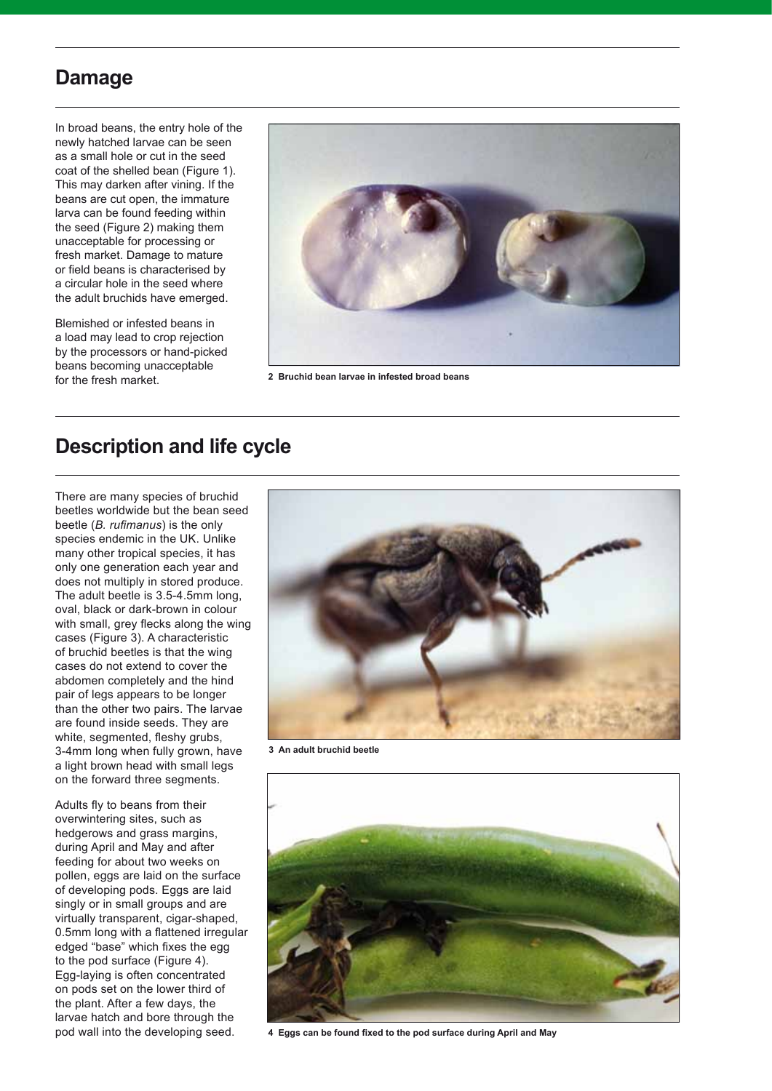## **Damage**

In broad beans, the entry hole of the newly hatched larvae can be seen as a small hole or cut in the seed coat of the shelled bean (Figure 1). This may darken after vining. If the beans are cut open, the immature larva can be found feeding within the seed (Figure 2) making them unacceptable for processing or fresh market. Damage to mature or field beans is characterised by a circular hole in the seed where the adult bruchids have emerged.

Blemished or infested beans in a load may lead to crop rejection by the processors or hand-picked beans becoming unacceptable for the fresh market.



**2 Bruchid bean larvae in infested broad beans** 

# **Description and life cycle**

There are many species of bruchid beetles worldwide but the bean seed beetle (*B. rufimanus*) is the only species endemic in the UK. Unlike many other tropical species, it has only one generation each year and does not multiply in stored produce. The adult beetle is 3.5-4.5mm long, oval, black or dark-brown in colour with small, grey flecks along the wing cases (Figure 3). A characteristic of bruchid beetles is that the wing cases do not extend to cover the abdomen completely and the hind pair of legs appears to be longer than the other two pairs. The larvae are found inside seeds. They are white, segmented, fleshy grubs, 3-4mm long when fully grown, have a light brown head with small legs on the forward three segments.

Adults fly to beans from their overwintering sites, such as hedgerows and grass margins, during April and May and after feeding for about two weeks on pollen, eggs are laid on the surface of developing pods. Eggs are laid singly or in small groups and are virtually transparent, cigar-shaped, 0.5mm long with a flattened irregular edged "base" which fixes the egg to the pod surface (Figure 4). Egg-laying is often concentrated on pods set on the lower third of the plant. After a few days, the larvae hatch and bore through the pod wall into the developing seed.



**3 An adult bruchid beetle** 



**4 Eggs can be found fixed to the pod surface during April and May**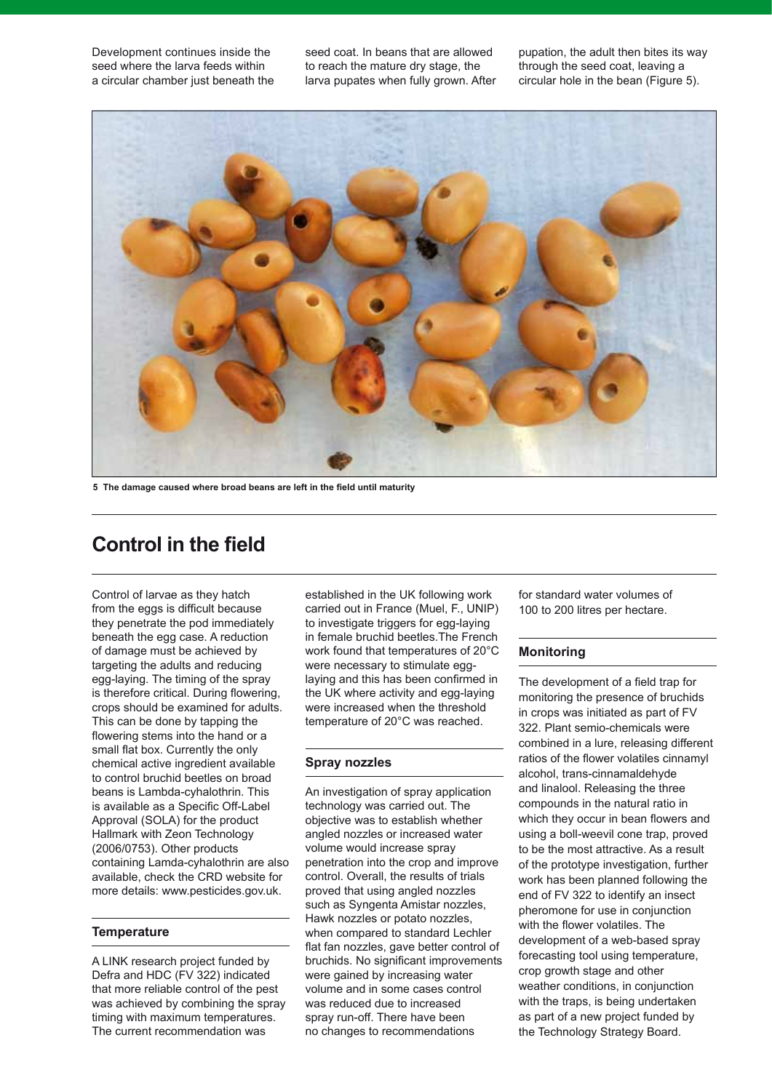Development continues inside the seed where the larva feeds within a circular chamber just beneath the seed coat. In beans that are allowed to reach the mature dry stage, the larva pupates when fully grown. After

pupation, the adult then bites its way through the seed coat, leaving a circular hole in the bean (Figure 5).



**5 The damage caused where broad beans are left in the field until maturity**

### **Control in the field**

Control of larvae as they hatch from the eggs is difficult because they penetrate the pod immediately beneath the egg case. A reduction of damage must be achieved by targeting the adults and reducing egg-laying. The timing of the spray is therefore critical. During flowering, crops should be examined for adults. This can be done by tapping the flowering stems into the hand or a small flat box. Currently the only chemical active ingredient available to control bruchid beetles on broad beans is Lambda-cyhalothrin. This is available as a Specific Off-Label Approval (SOLA) for the product Hallmark with Zeon Technology (2006/0753). Other products containing Lamda-cyhalothrin are also available, check the CRD website for more details: www.pesticides.gov.uk.

### **Temperature**

A LINK research project funded by Defra and HDC (FV 322) indicated that more reliable control of the pest was achieved by combining the spray timing with maximum temperatures. The current recommendation was

established in the UK following work carried out in France (Muel, F., UNIP) to investigate triggers for egg-laying in female bruchid beetles.The French work found that temperatures of 20°C were necessary to stimulate egglaying and this has been confirmed in the UK where activity and egg-laying were increased when the threshold temperature of 20°C was reached.

#### **Spray nozzles**

An investigation of spray application technology was carried out. The objective was to establish whether angled nozzles or increased water volume would increase spray penetration into the crop and improve control. Overall, the results of trials proved that using angled nozzles such as Syngenta Amistar nozzles, Hawk nozzles or potato nozzles, when compared to standard Lechler flat fan nozzles, gave better control of bruchids. No significant improvements were gained by increasing water volume and in some cases control was reduced due to increased spray run-off. There have been no changes to recommendations

for standard water volumes of 100 to 200 litres per hectare.

#### **Monitoring**

The development of a field trap for monitoring the presence of bruchids in crops was initiated as part of FV 322. Plant semio-chemicals were combined in a lure, releasing different ratios of the flower volatiles cinnamyl alcohol, trans-cinnamaldehyde and linalool. Releasing the three compounds in the natural ratio in which they occur in bean flowers and using a boll-weevil cone trap, proved to be the most attractive. As a result of the prototype investigation, further work has been planned following the end of FV 322 to identify an insect pheromone for use in conjunction with the flower volatiles. The development of a web-based spray forecasting tool using temperature, crop growth stage and other weather conditions, in conjunction with the traps, is being undertaken as part of a new project funded by the Technology Strategy Board.